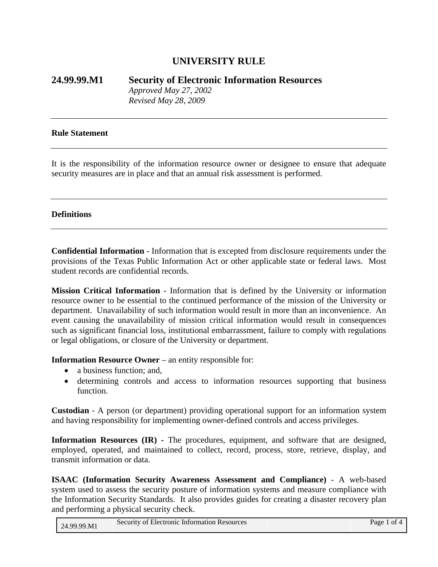# **UNIVERSITY RULE**

**24.99.99.M1 Security of Electronic Information Resources** *Approved May 27, 2002 Revised May 28, 2009* 

#### **Rule Statement**

It is the responsibility of the information resource owner or designee to ensure that adequate security measures are in place and that an annual risk assessment is performed.

#### **Definitions**

**Confidential Information** - Information that is excepted from disclosure requirements under the provisions of the Texas Public Information Act or other applicable state or federal laws. Most student records are confidential records.

**Mission Critical Information** - Information that is defined by the University or information resource owner to be essential to the continued performance of the mission of the University or department. Unavailability of such information would result in more than an inconvenience. An event causing the unavailability of mission critical information would result in consequences such as significant financial loss, institutional embarrassment, failure to comply with regulations or legal obligations, or closure of the University or department.

**Information Resource Owner** – an entity responsible for:

- a business function; and,
- determining controls and access to information resources supporting that business function.

**Custodian** - A person (or department) providing operational support for an information system and having responsibility for implementing owner-defined controls and access privileges.

**Information Resources (IR) -** The procedures, equipment, and software that are designed, employed, operated, and maintained to collect, record, process, store, retrieve, display, and transmit information or data.

**ISAAC (Information Security Awareness Assessment and Compliance)** - A web-based system used to assess the security posture of information systems and measure compliance with the Information Security Standards. It also provides guides for creating a disaster recovery plan and performing a physical security check.

| 24.99.99.M1 | Security of Electronic Information Resources |  | Page 1 of 4 |
|-------------|----------------------------------------------|--|-------------|
|-------------|----------------------------------------------|--|-------------|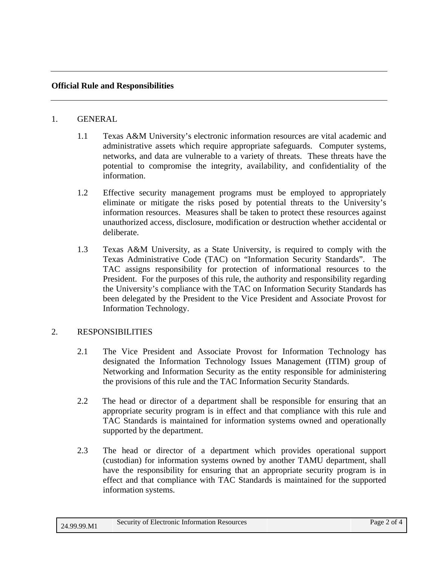## **Official Rule and Responsibilities**

#### 1. GENERAL

- 1.1 Texas A&M University's electronic information resources are vital academic and administrative assets which require appropriate safeguards. Computer systems, networks, and data are vulnerable to a variety of threats. These threats have the potential to compromise the integrity, availability, and confidentiality of the information.
- 1.2 Effective security management programs must be employed to appropriately eliminate or mitigate the risks posed by potential threats to the University's information resources. Measures shall be taken to protect these resources against unauthorized access, disclosure, modification or destruction whether accidental or deliberate.
- 1.3 Texas A&M University, as a State University, is required to comply with the Texas Administrative Code (TAC) on "Information Security Standards". The TAC assigns responsibility for protection of informational resources to the President. For the purposes of this rule, the authority and responsibility regarding the University's compliance with the TAC on Information Security Standards has been delegated by the President to the Vice President and Associate Provost for Information Technology.

## 2. RESPONSIBILITIES

- 2.1 The Vice President and Associate Provost for Information Technology has designated the Information Technology Issues Management (ITIM) group of Networking and Information Security as the entity responsible for administering the provisions of this rule and the TAC Information Security Standards.
- 2.2 The head or director of a department shall be responsible for ensuring that an appropriate security program is in effect and that compliance with this rule and TAC Standards is maintained for information systems owned and operationally supported by the department.
- 2.3 The head or director of a department which provides operational support (custodian) for information systems owned by another TAMU department, shall have the responsibility for ensuring that an appropriate security program is in effect and that compliance with TAC Standards is maintained for the supported information systems.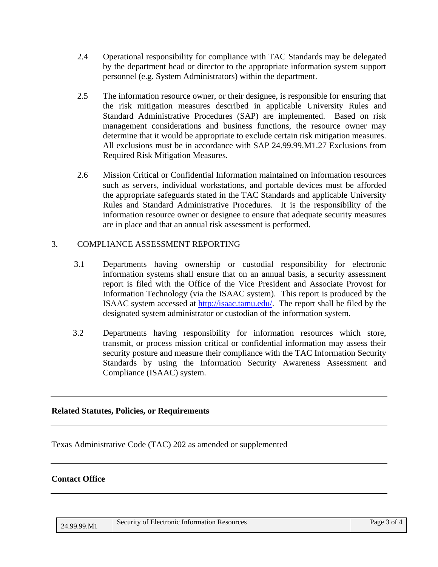- 2.4 Operational responsibility for compliance with TAC Standards may be delegated by the department head or director to the appropriate information system support personnel (e.g. System Administrators) within the department.
- 2.5 The information resource owner, or their designee, is responsible for ensuring that the risk mitigation measures described in applicable University Rules and Standard Administrative Procedures (SAP) are implemented. Based on risk management considerations and business functions, the resource owner may determine that it would be appropriate to exclude certain risk mitigation measures. All exclusions must be in accordance with SAP 24.99.99.M1.27 Exclusions from Required Risk Mitigation Measures.
- 2.6 Mission Critical or Confidential Information maintained on information resources such as servers, individual workstations, and portable devices must be afforded the appropriate safeguards stated in the TAC Standards and applicable University Rules and Standard Administrative Procedures. It is the responsibility of the information resource owner or designee to ensure that adequate security measures are in place and that an annual risk assessment is performed.

# 3. COMPLIANCE ASSESSMENT REPORTING

- 3.1 Departments having ownership or custodial responsibility for electronic information systems shall ensure that on an annual basis, a security assessment report is filed with the Office of the Vice President and Associate Provost for Information Technology (via the ISAAC system). This report is produced by the ISAAC system accessed at [http://isaac.tamu.edu/.](http://isaac.tamu.edu/) The report shall be filed by the designated system administrator or custodian of the information system.
- 3.2 Departments having responsibility for information resources which store, transmit, or process mission critical or confidential information may assess their security posture and measure their compliance with the TAC Information Security Standards by using the Information Security Awareness Assessment and Compliance (ISAAC) system.

## **Related Statutes, Policies, or Requirements**

Texas Administrative Code (TAC) 202 as amended or supplemented

## **Contact Office**